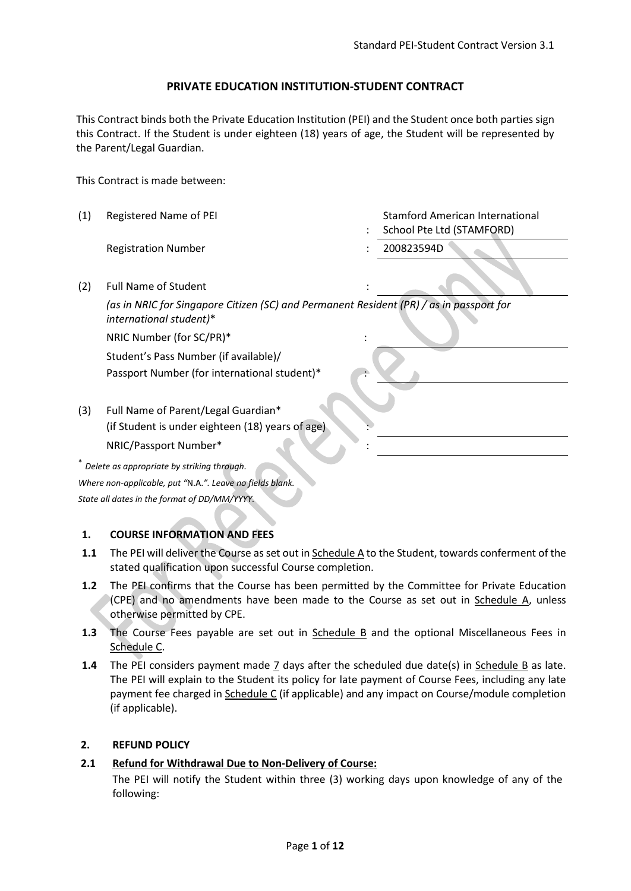## **PRIVATE EDUCATION INSTITUTION-STUDENT CONTRACT**

This Contract binds both the Private Education Institution (PEI) and the Student once both parties sign this Contract. If the Student is under eighteen (18) years of age, the Student will be represented by the Parent/Legal Guardian.

This Contract is made between:

(1) Registered Name of PEI : Stamford American International School Pte Ltd (STAMFORD) Registration Number : 200823594D (2) Full Name of Student *(as in NRIC for Singapore Citizen (SC) and Permanent Resident (PR) / as in passport for international student)*\* NRIC Number (for SC/PR)\* : Student's Pass Number (if available)/ Passport Number (for international student)\* (3) Full Name of Parent/Legal Guardian\* (if Student is under eighteen (18) years of age) NRIC/Passport Number\* : \* *Delete as appropriate by striking through. Where non-applicable, put "*N.A.*". Leave no fields blank. State all dates in the format of DD/MM/YYYY.*

## **1. COURSE INFORMATION AND FEES**

- **1.1** The PEI will deliver the Course as set out in Schedule A to the Student, towards conferment of the stated qualification upon successful Course completion.
- **1.2** The PEI confirms that the Course has been permitted by the Committee for Private Education (CPE) and no amendments have been made to the Course as set out in Schedule A, unless otherwise permitted by CPE.
- **1.3** The Course Fees payable are set out in Schedule B and the optional Miscellaneous Fees in Schedule C.
- **1.4** The PEI considers payment made 7 days after the scheduled due date(s) in Schedule B as late. The PEI will explain to the Student its policy for late payment of Course Fees, including any late payment fee charged in Schedule C (if applicable) and any impact on Course/module completion (if applicable).

## **2. REFUND POLICY**

## **2.1 Refund for Withdrawal Due to Non-Delivery of Course:**

The PEI will notify the Student within three (3) working days upon knowledge of any of the following: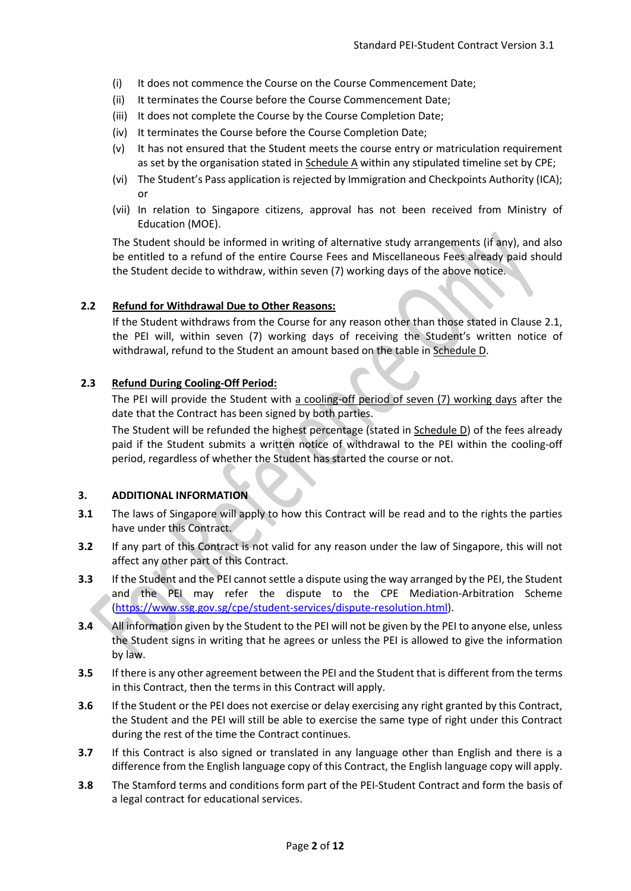- (i) It does not commence the Course on the Course Commencement Date;
- (ii) It terminates the Course before the Course Commencement Date;
- (iii) It does not complete the Course by the Course Completion Date;
- (iv) It terminates the Course before the Course Completion Date;
- (v) It has not ensured that the Student meets the course entry or matriculation requirement as set by the organisation stated in Schedule A within any stipulated timeline set by CPE;
- (vi) The Student's Pass application is rejected by Immigration and Checkpoints Authority (ICA); or
- (vii) In relation to Singapore citizens, approval has not been received from Ministry of Education (MOE).

The Student should be informed in writing of alternative study arrangements (if any), and also be entitled to a refund of the entire Course Fees and Miscellaneous Fees already paid should the Student decide to withdraw, within seven (7) working days of the above notice.

### **2.2 Refund for Withdrawal Due to Other Reasons:**

If the Student withdraws from the Course for any reason other than those stated in Clause 2.1, the PEI will, within seven (7) working days of receiving the Student's written notice of withdrawal, refund to the Student an amount based on the table in Schedule D.

### **2.3 Refund During Cooling-Off Period:**

The PEI will provide the Student with a cooling-off period of seven (7) working days after the date that the Contract has been signed by both parties.

The Student will be refunded the highest percentage (stated in Schedule D) of the fees already paid if the Student submits a written notice of withdrawal to the PEI within the cooling-off period, regardless of whether the Student has started the course or not.

### **3. ADDITIONAL INFORMATION**

- **3.1** The laws of Singapore will apply to how this Contract will be read and to the rights the parties have under this Contract.
- **3.2** If any part of this Contract is not valid for any reason under the law of Singapore, this will not affect any other part of this Contract.
- **3.3** If the Student and the PEI cannot settle a dispute using the way arranged by the PEI, the Student and the PEI may refer the dispute to the CPE Mediation-Arbitration Scheme [\(https://www.ssg.gov.sg/cpe/student-services/dispute-resolution.html\)](https://www.ssg.gov.sg/cpe/student-services/dispute-resolution.html).
- **3.4** All information given by the Student to the PEI will not be given by the PEI to anyone else, unless the Student signs in writing that he agrees or unless the PEI is allowed to give the information by law.
- **3.5** If there is any other agreement between the PEI and the Student that is different from the terms in this Contract, then the terms in this Contract will apply.
- **3.6** If the Student or the PEI does not exercise or delay exercising any right granted by this Contract, the Student and the PEI will still be able to exercise the same type of right under this Contract during the rest of the time the Contract continues.
- **3.7** If this Contract is also signed or translated in any language other than English and there is a difference from the English language copy of this Contract, the English language copy will apply.
- **3.8** The Stamford terms and conditions form part of the PEI-Student Contract and form the basis of a legal contract for educational services.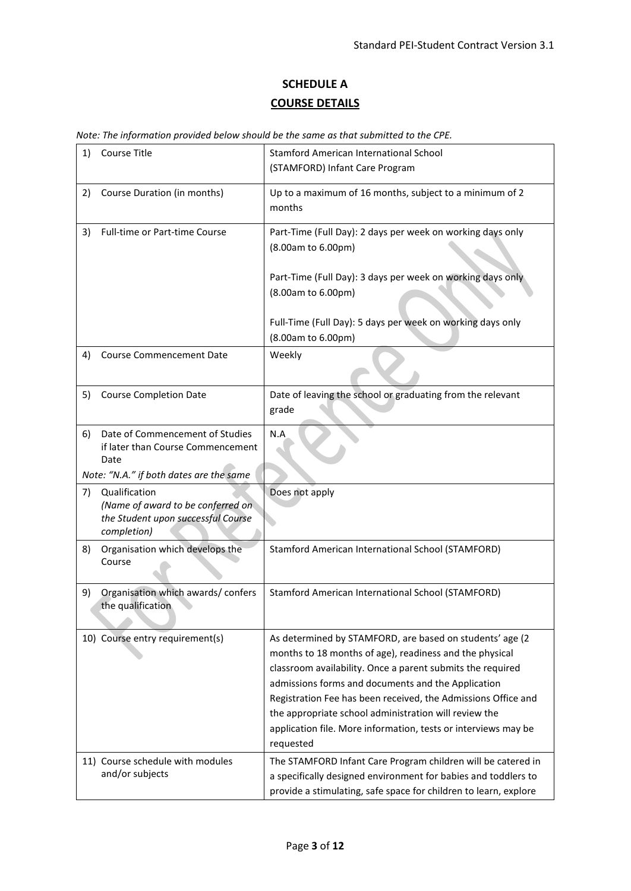# **SCHEDULE A COURSE DETAILS**

|  |  |  |  | Note: The information provided below should be the same as that submitted to the CPE. |  |
|--|--|--|--|---------------------------------------------------------------------------------------|--|
|--|--|--|--|---------------------------------------------------------------------------------------|--|

| 1) | Course Title                                                                                            | <b>Stamford American International School</b><br>(STAMFORD) Infant Care Program                                                                                                                                                                                                                                                                                                                                                                  |
|----|---------------------------------------------------------------------------------------------------------|--------------------------------------------------------------------------------------------------------------------------------------------------------------------------------------------------------------------------------------------------------------------------------------------------------------------------------------------------------------------------------------------------------------------------------------------------|
| 2) | Course Duration (in months)                                                                             | Up to a maximum of 16 months, subject to a minimum of 2<br>months                                                                                                                                                                                                                                                                                                                                                                                |
| 3) | <b>Full-time or Part-time Course</b>                                                                    | Part-Time (Full Day): 2 days per week on working days only<br>(8.00am to 6.00pm)                                                                                                                                                                                                                                                                                                                                                                 |
|    |                                                                                                         | Part-Time (Full Day): 3 days per week on working days only<br>(8.00am to 6.00pm)                                                                                                                                                                                                                                                                                                                                                                 |
|    |                                                                                                         | Full-Time (Full Day): 5 days per week on working days only<br>(8.00am to 6.00pm)                                                                                                                                                                                                                                                                                                                                                                 |
| 4) | <b>Course Commencement Date</b>                                                                         | Weekly                                                                                                                                                                                                                                                                                                                                                                                                                                           |
| 5) | <b>Course Completion Date</b>                                                                           | Date of leaving the school or graduating from the relevant<br>grade                                                                                                                                                                                                                                                                                                                                                                              |
| 6) | Date of Commencement of Studies<br>if later than Course Commencement<br>Date                            | N.A                                                                                                                                                                                                                                                                                                                                                                                                                                              |
|    | Note: "N.A." if both dates are the same                                                                 |                                                                                                                                                                                                                                                                                                                                                                                                                                                  |
| 7) | Qualification<br>(Name of award to be conferred on<br>the Student upon successful Course<br>completion) | Does not apply                                                                                                                                                                                                                                                                                                                                                                                                                                   |
| 8) | Organisation which develops the<br>Course                                                               | Stamford American International School (STAMFORD)                                                                                                                                                                                                                                                                                                                                                                                                |
| 9) | Organisation which awards/confers<br>the qualification                                                  | Stamford American International School (STAMFORD)                                                                                                                                                                                                                                                                                                                                                                                                |
|    | 10) Course entry requirement(s)                                                                         | As determined by STAMFORD, are based on students' age (2<br>months to 18 months of age), readiness and the physical<br>classroom availability. Once a parent submits the required<br>admissions forms and documents and the Application<br>Registration Fee has been received, the Admissions Office and<br>the appropriate school administration will review the<br>application file. More information, tests or interviews may be<br>requested |
|    | 11) Course schedule with modules<br>and/or subjects                                                     | The STAMFORD Infant Care Program children will be catered in<br>a specifically designed environment for babies and toddlers to<br>provide a stimulating, safe space for children to learn, explore                                                                                                                                                                                                                                               |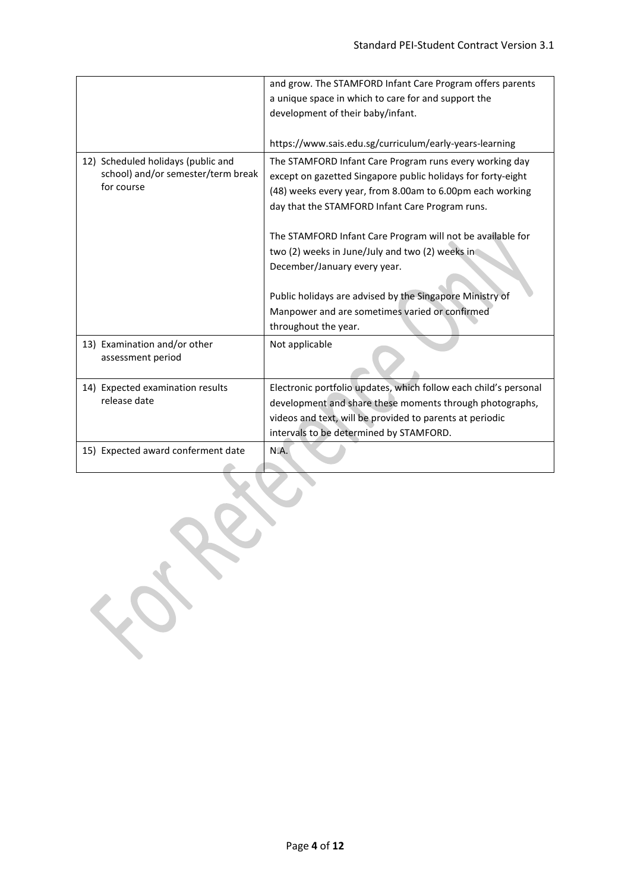|                                    | and grow. The STAMFORD Infant Care Program offers parents        |  |  |
|------------------------------------|------------------------------------------------------------------|--|--|
|                                    | a unique space in which to care for and support the              |  |  |
|                                    | development of their baby/infant.                                |  |  |
|                                    |                                                                  |  |  |
|                                    | https://www.sais.edu.sg/curriculum/early-years-learning          |  |  |
| 12) Scheduled holidays (public and | The STAMFORD Infant Care Program runs every working day          |  |  |
| school) and/or semester/term break | except on gazetted Singapore public holidays for forty-eight     |  |  |
| for course                         | (48) weeks every year, from 8.00am to 6.00pm each working        |  |  |
|                                    | day that the STAMFORD Infant Care Program runs.                  |  |  |
|                                    |                                                                  |  |  |
|                                    | The STAMFORD Infant Care Program will not be available for       |  |  |
|                                    | two (2) weeks in June/July and two (2) weeks in                  |  |  |
|                                    | December/January every year.                                     |  |  |
|                                    |                                                                  |  |  |
|                                    | Public holidays are advised by the Singapore Ministry of         |  |  |
|                                    | Manpower and are sometimes varied or confirmed                   |  |  |
|                                    | throughout the year.                                             |  |  |
|                                    |                                                                  |  |  |
| 13) Examination and/or other       | Not applicable                                                   |  |  |
| assessment period                  |                                                                  |  |  |
|                                    |                                                                  |  |  |
| 14) Expected examination results   | Electronic portfolio updates, which follow each child's personal |  |  |
| release date                       | development and share these moments through photographs,         |  |  |
|                                    | videos and text, will be provided to parents at periodic         |  |  |
|                                    | intervals to be determined by STAMFORD.                          |  |  |
| 15) Expected award conferment date | N.A.                                                             |  |  |
|                                    |                                                                  |  |  |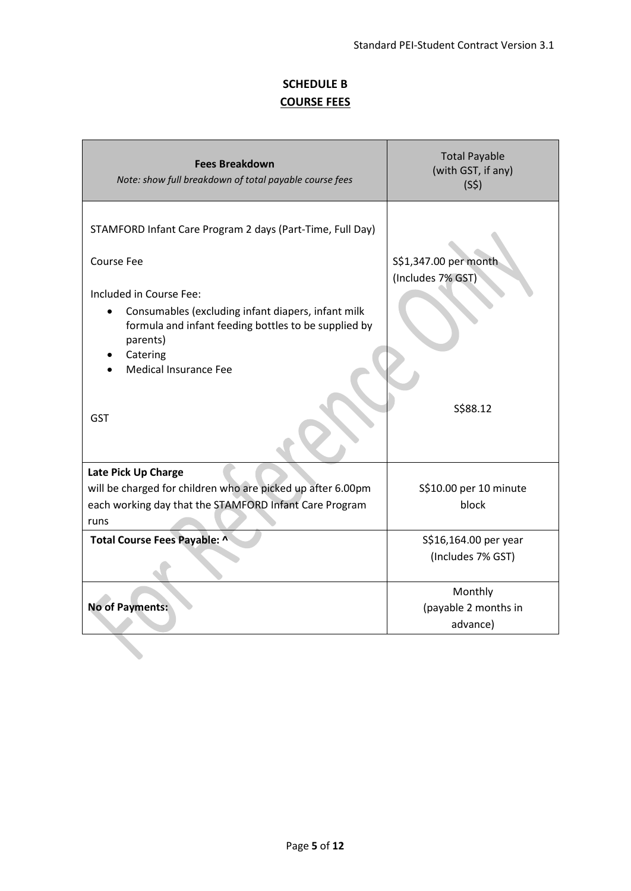# **SCHEDULE B COURSE FEES**

| <b>Fees Breakdown</b><br>Note: show full breakdown of total payable course fees                                                                                                                                                                                                               | <b>Total Payable</b><br>(with GST, if any)<br>(S5)     |
|-----------------------------------------------------------------------------------------------------------------------------------------------------------------------------------------------------------------------------------------------------------------------------------------------|--------------------------------------------------------|
| STAMFORD Infant Care Program 2 days (Part-Time, Full Day)<br><b>Course Fee</b><br>Included in Course Fee:<br>Consumables (excluding infant diapers, infant milk<br>formula and infant feeding bottles to be supplied by<br>parents)<br>Catering<br><b>Medical Insurance Fee</b><br><b>GST</b> | S\$1,347.00 per month<br>(Includes 7% GST)<br>S\$88.12 |
| Late Pick Up Charge<br>will be charged for children who are picked up after 6.00pm<br>each working day that the STAMFORD Infant Care Program<br>runs                                                                                                                                          | S\$10.00 per 10 minute<br>block                        |
| Total Course Fees Payable: ^                                                                                                                                                                                                                                                                  | S\$16,164.00 per year<br>(Includes 7% GST)<br>Monthly  |
| <b>No of Payments:</b>                                                                                                                                                                                                                                                                        | (payable 2 months in<br>advance)                       |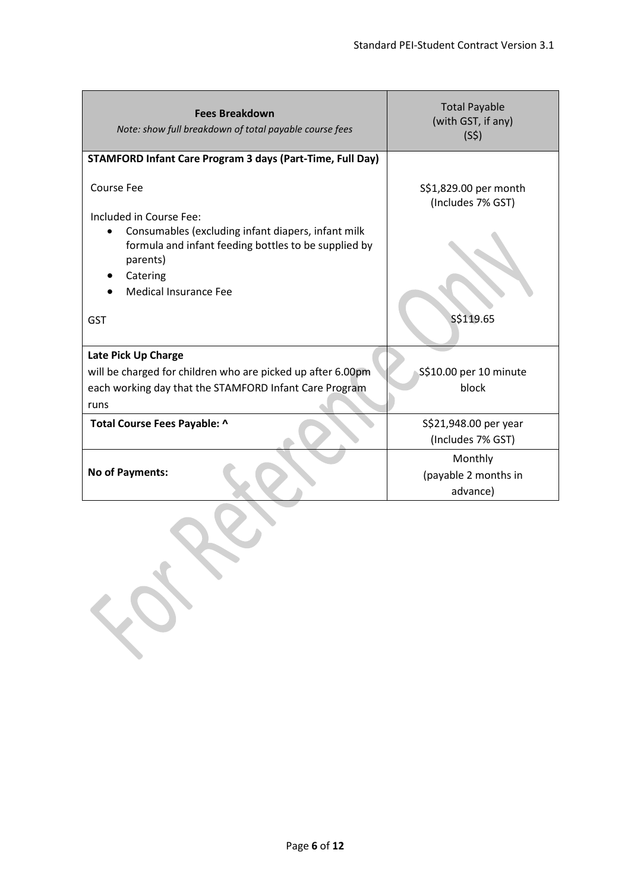| <b>Fees Breakdown</b><br>Note: show full breakdown of total payable course fees                                                                      | <b>Total Payable</b><br>(with GST, if any)<br>(S5) |  |  |  |
|------------------------------------------------------------------------------------------------------------------------------------------------------|----------------------------------------------------|--|--|--|
| <b>STAMFORD Infant Care Program 3 days (Part-Time, Full Day)</b>                                                                                     |                                                    |  |  |  |
| <b>Course Fee</b><br>Included in Course Fee:                                                                                                         | S\$1,829.00 per month<br>(Includes 7% GST)         |  |  |  |
| Consumables (excluding infant diapers, infant milk<br>formula and infant feeding bottles to be supplied by<br>parents)<br>Catering                   |                                                    |  |  |  |
| <b>Medical Insurance Fee</b>                                                                                                                         |                                                    |  |  |  |
| <b>GST</b>                                                                                                                                           | S\$119.65                                          |  |  |  |
| Late Pick Up Charge<br>will be charged for children who are picked up after 6.00pm<br>each working day that the STAMFORD Infant Care Program<br>runs | S\$10.00 per 10 minute<br>block                    |  |  |  |
| Total Course Fees Payable: ^                                                                                                                         | S\$21,948.00 per year<br>(Includes 7% GST)         |  |  |  |
| No of Payments:                                                                                                                                      | Monthly<br>(payable 2 months in<br>advance)        |  |  |  |
| FOR                                                                                                                                                  |                                                    |  |  |  |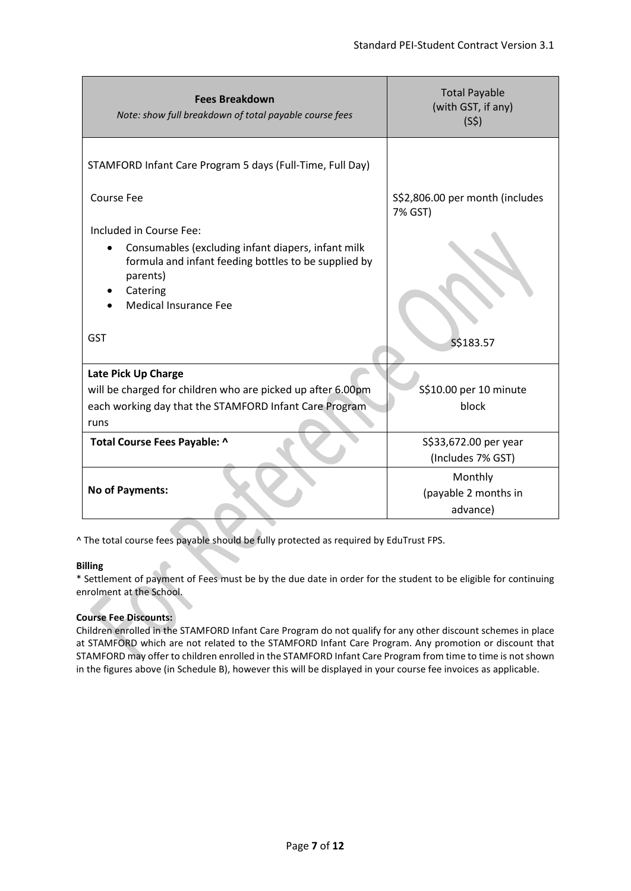| <b>Fees Breakdown</b><br>Note: show full breakdown of total payable course fees                                                                                                 | <b>Total Payable</b><br>(with GST, if any)<br>(S5) |
|---------------------------------------------------------------------------------------------------------------------------------------------------------------------------------|----------------------------------------------------|
| STAMFORD Infant Care Program 5 days (Full-Time, Full Day)                                                                                                                       |                                                    |
| <b>Course Fee</b>                                                                                                                                                               | S\$2,806.00 per month (includes<br>7% GST)         |
| Included in Course Fee:                                                                                                                                                         |                                                    |
| Consumables (excluding infant diapers, infant milk<br>$\bullet$<br>formula and infant feeding bottles to be supplied by<br>parents)<br>Catering<br><b>Medical Insurance Fee</b> |                                                    |
| <b>GST</b>                                                                                                                                                                      | S\$183.57                                          |
| Late Pick Up Charge                                                                                                                                                             |                                                    |
| will be charged for children who are picked up after 6.00pm                                                                                                                     | S\$10.00 per 10 minute                             |
| each working day that the STAMFORD Infant Care Program                                                                                                                          | block                                              |
| runs                                                                                                                                                                            |                                                    |
| Total Course Fees Payable: ^                                                                                                                                                    | S\$33,672.00 per year                              |
|                                                                                                                                                                                 | (Includes 7% GST)                                  |
| No of Payments:                                                                                                                                                                 | Monthly<br>(payable 2 months in<br>advance)        |

^ The total course fees payable should be fully protected as required by EduTrust FPS.

### **Billing**

\* Settlement of payment of Fees must be by the due date in order for the student to be eligible for continuing enrolment at the School.

### **Course Fee Discounts:**

Children enrolled in the STAMFORD Infant Care Program do not qualify for any other discount schemes in place at STAMFORD which are not related to the STAMFORD Infant Care Program. Any promotion or discount that STAMFORD may offer to children enrolled in the STAMFORD Infant Care Program from time to time is not shown in the figures above (in Schedule B), however this will be displayed in your course fee invoices as applicable.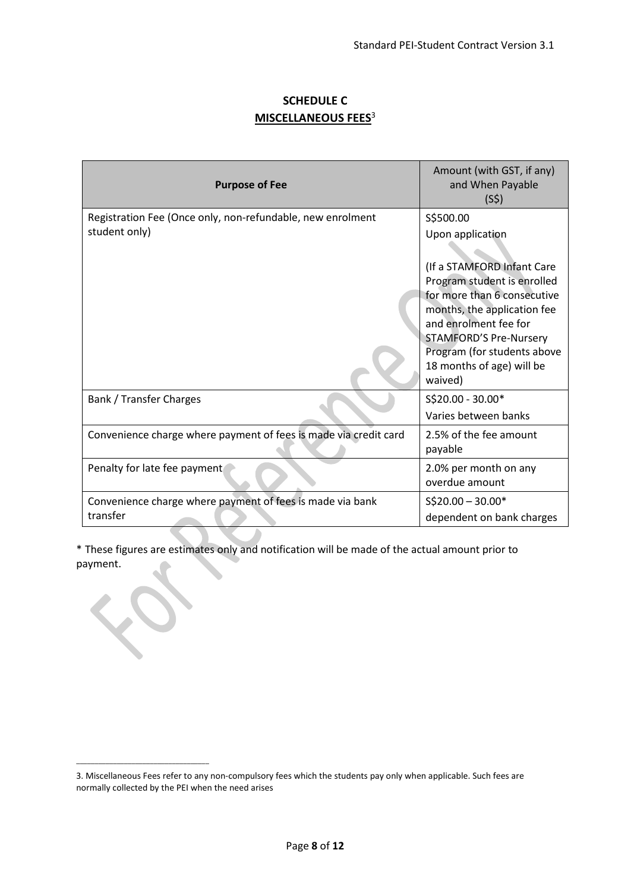## **SCHEDULE C MISCELLANEOUS FEES**<sup>3</sup>

| <b>Purpose of Fee</b>                                                       | Amount (with GST, if any)<br>and When Payable<br>(S5)                                                                                                                                                                                                                                     |
|-----------------------------------------------------------------------------|-------------------------------------------------------------------------------------------------------------------------------------------------------------------------------------------------------------------------------------------------------------------------------------------|
| Registration Fee (Once only, non-refundable, new enrolment<br>student only) | S\$500.00<br>Upon application<br>(If a STAMFORD Infant Care<br>Program student is enrolled<br>for more than 6 consecutive<br>months, the application fee<br>and enrolment fee for<br><b>STAMFORD'S Pre-Nursery</b><br>Program (for students above<br>18 months of age) will be<br>waived) |
| Bank / Transfer Charges                                                     | S\$20.00 - 30.00*<br>Varies between banks                                                                                                                                                                                                                                                 |
| Convenience charge where payment of fees is made via credit card            | 2.5% of the fee amount<br>payable                                                                                                                                                                                                                                                         |
| Penalty for late fee payment                                                | 2.0% per month on any<br>overdue amount                                                                                                                                                                                                                                                   |
| Convenience charge where payment of fees is made via bank<br>transfer       | $S$20.00 - 30.00*$<br>dependent on bank charges                                                                                                                                                                                                                                           |

\* These figures are estimates only and notification will be made of the actual amount prior to payment.

\_\_\_\_\_\_\_\_\_\_\_\_\_\_\_\_\_\_\_\_\_\_\_\_\_\_\_\_\_\_\_\_\_\_\_\_

<sup>3.</sup> Miscellaneous Fees refer to any non-compulsory fees which the students pay only when applicable. Such fees are normally collected by the PEI when the need arises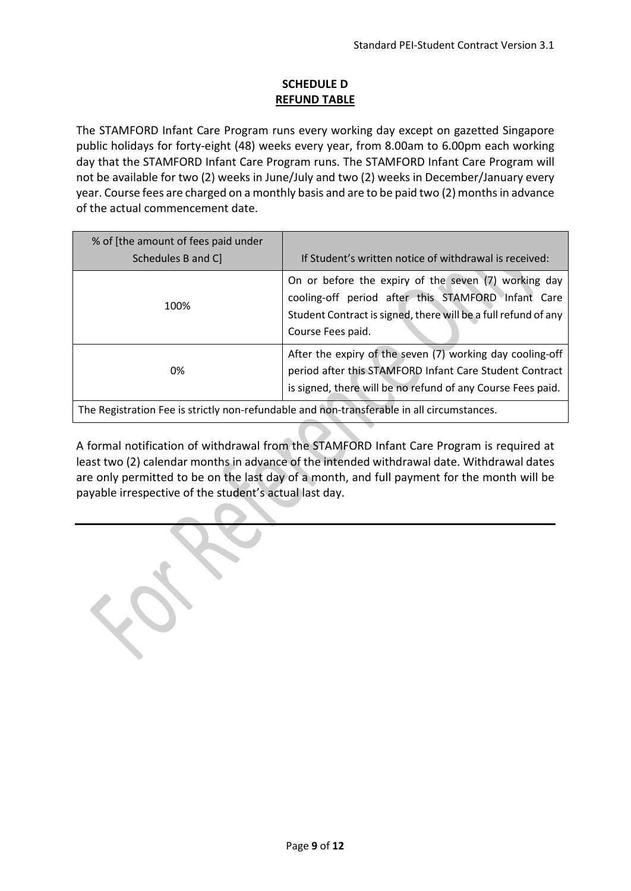## **SCHEDULE D REFUND TABLE**

The STAMFORD Infant Care Program runs every working day except on gazetted Singapore public holidays for forty-eight (48) weeks every year, from 8.00am to 6.00pm each working day that the STAMFORD Infant Care Program runs. The STAMFORD Infant Care Program will not be available for two (2) weeks in June/July and two (2) weeks in December/January every year. Course fees are charged on a monthly basis and are to be paid two (2) months in advance of the actual commencement date.

| % of [the amount of fees paid under<br>Schedules B and C]                                  | If Student's written notice of withdrawal is received:                                                                                                                                            |  |
|--------------------------------------------------------------------------------------------|---------------------------------------------------------------------------------------------------------------------------------------------------------------------------------------------------|--|
| 100%                                                                                       | On or before the expiry of the seven (7) working day<br>cooling-off period after this STAMFORD Infant Care<br>Student Contract is signed, there will be a full refund of any<br>Course Fees paid. |  |
| 0%                                                                                         | After the expiry of the seven (7) working day cooling-off<br>period after this STAMFORD Infant Care Student Contract<br>is signed, there will be no refund of any Course Fees paid.               |  |
| The Registration Fee is strictly non-refundable and non-transferable in all circumstances. |                                                                                                                                                                                                   |  |

A formal notification of withdrawal from the STAMFORD Infant Care Program is required at least two (2) calendar months in advance of the intended withdrawal date. Withdrawal dates are only permitted to be on the last day of a month, and full payment for the month will be payable irrespective of the student's actual last day.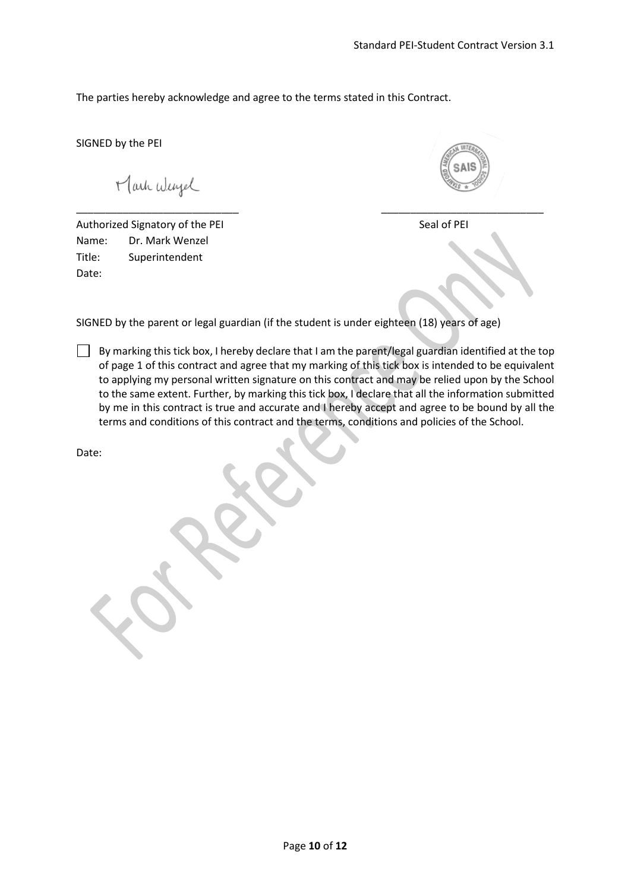The parties hereby acknowledge and agree to the terms stated in this Contract.

SIGNED by the PEI

Mark Wergel

Authorized Signatory of the PEI Seal of PEI Name: Dr. Mark Wenzel Title: Superintendent Date:

SIGNED by the parent or legal guardian (if the student is under eighteen (18) years of age)

\_\_\_\_\_\_\_\_\_\_\_\_\_\_\_\_\_\_\_\_\_\_\_\_\_\_\_\_ \_\_\_\_\_\_\_\_\_\_\_\_\_\_\_\_\_\_\_\_\_\_\_\_\_\_\_\_

By marking this tick box, I hereby declare that I am the parent/legal guardian identified at the top of page 1 of this contract and agree that my marking of this tick box is intended to be equivalent to applying my personal written signature on this contract and may be relied upon by the School to the same extent. Further, by marking this tick box, I declare that all the information submitted by me in this contract is true and accurate and I hereby accept and agree to be bound by all the terms and conditions of this contract and the terms, conditions and policies of the School.

Date: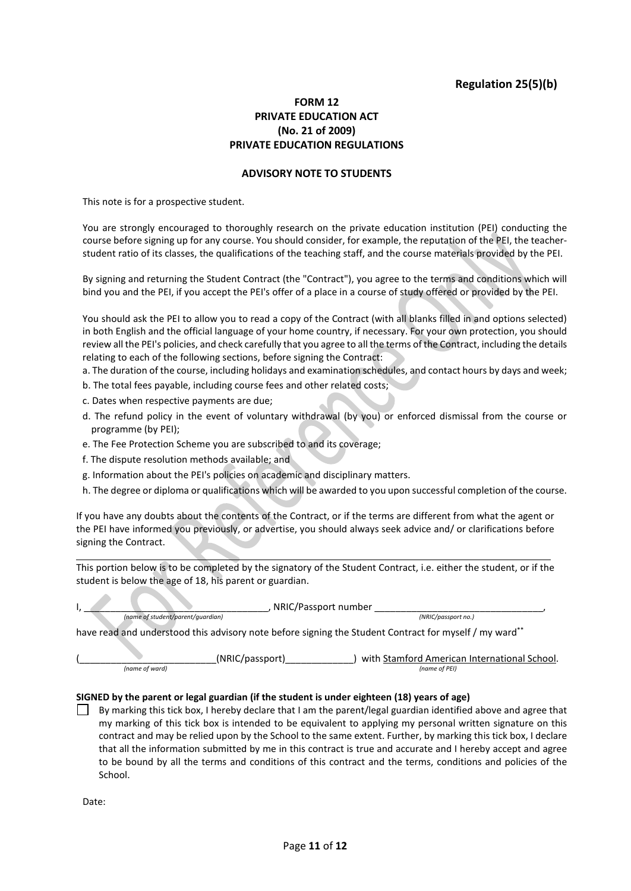## **Regulation 25(5)(b)**

## **FORM 12 PRIVATE EDUCATION ACT (No. 21 of 2009) PRIVATE EDUCATION REGULATIONS**

#### **ADVISORY NOTE TO STUDENTS**

This note is for a prospective student.

You are strongly encouraged to thoroughly research on the private education institution (PEI) conducting the course before signing up for any course. You should consider, for example, the reputation of the PEI, the teacherstudent ratio of its classes, the qualifications of the teaching staff, and the course materials provided by the PEI.

By signing and returning the Student Contract (the "Contract"), you agree to the terms and conditions which will bind you and the PEI, if you accept the PEI's offer of a place in a course of study offered or provided by the PEI.

You should ask the PEI to allow you to read a copy of the Contract (with all blanks filled in and options selected) in both English and the official language of your home country, if necessary. For your own protection, you should review all the PEI's policies, and check carefully that you agree to all the terms of the Contract, including the details relating to each of the following sections, before signing the Contract:

a. The duration of the course, including holidays and examination schedules, and contact hours by days and week;

- b. The total fees payable, including course fees and other related costs;
- c. Dates when respective payments are due;
- d. The refund policy in the event of voluntary withdrawal (by you) or enforced dismissal from the course or programme (by PEI);
- e. The Fee Protection Scheme you are subscribed to and its coverage;
- f. The dispute resolution methods available; and

v.

A

 $\Delta \mathbf{r}$ 

- g. Information about the PEI's policies on academic and disciplinary matters.
- h. The degree or diploma or qualifications which will be awarded to you upon successful completion of the course.

If you have any doubts about the contents of the Contract, or if the terms are different from what the agent or the PEI have informed you previously, or advertise, you should always seek advice and/ or clarifications before signing the Contract.

This portion below is to be completed by the signatory of the Student Contract, i.e. either the student, or if the student is below the age of 18, his parent or guardian.

|                                   |                 | NRIC/Passport number                                                                                   |
|-----------------------------------|-----------------|--------------------------------------------------------------------------------------------------------|
| (name of student/parent/quardian) |                 | (NRIC/passport no.)                                                                                    |
|                                   |                 | have read and understood this advisory note before signing the Student Contract for myself / my ward** |
|                                   | (NRIC/passport) | with Stamford American International School.                                                           |
| (name of ward)                    |                 | (name of PEI)                                                                                          |

#### **SIGNED by the parent or legal guardian (if the student is under eighteen (18) years of age)**

By marking this tick box, I hereby declare that I am the parent/legal guardian identified above and agree that my marking of this tick box is intended to be equivalent to applying my personal written signature on this contract and may be relied upon by the School to the same extent. Further, by marking this tick box, I declare that all the information submitted by me in this contract is true and accurate and I hereby accept and agree to be bound by all the terms and conditions of this contract and the terms, conditions and policies of the School.

Date: